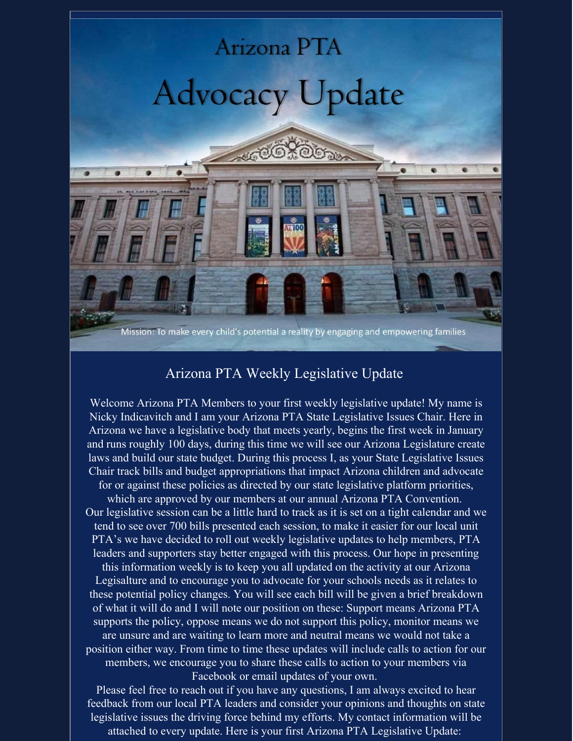

## Arizona PTA Weekly Legislative Update

Welcome Arizona PTA Members to your first weekly legislative update! My name is Nicky Indicavitch and I am your Arizona PTA State Legislative Issues Chair. Here in Arizona we have a legislative body that meets yearly, begins the first week in January and runs roughly 100 days, during this time we will see our Arizona Legislature create laws and build our state budget. During this process I, as your State Legislative Issues Chair track bills and budget appropriations that impact Arizona children and advocate for or against these policies as directed by our state legislative platform priorities, which are approved by our members at our annual Arizona PTA Convention. Our legislative session can be a little hard to track as it is set on a tight calendar and we tend to see over 700 bills presented each session, to make it easier for our local unit PTA's we have decided to roll out weekly legislative updates to help members, PTA leaders and supporters stay better engaged with this process. Our hope in presenting this information weekly is to keep you all updated on the activity at our Arizona Legisalture and to encourage you to advocate for your schools needs as it relates to these potential policy changes. You will see each bill will be given a brief breakdown of what it will do and I will note our position on these: Support means Arizona PTA supports the policy, oppose means we do not support this policy, monitor means we are unsure and are waiting to learn more and neutral means we would not take a

position either way. From time to time these updates will include calls to action for our members, we encourage you to share these calls to action to your members via Facebook or email updates of your own.

Please feel free to reach out if you have any questions, I am always excited to hear feedback from our local PTA leaders and consider your opinions and thoughts on state legislative issues the driving force behind my efforts. My contact information will be attached to every update. Here is your first Arizona PTA Legislative Update: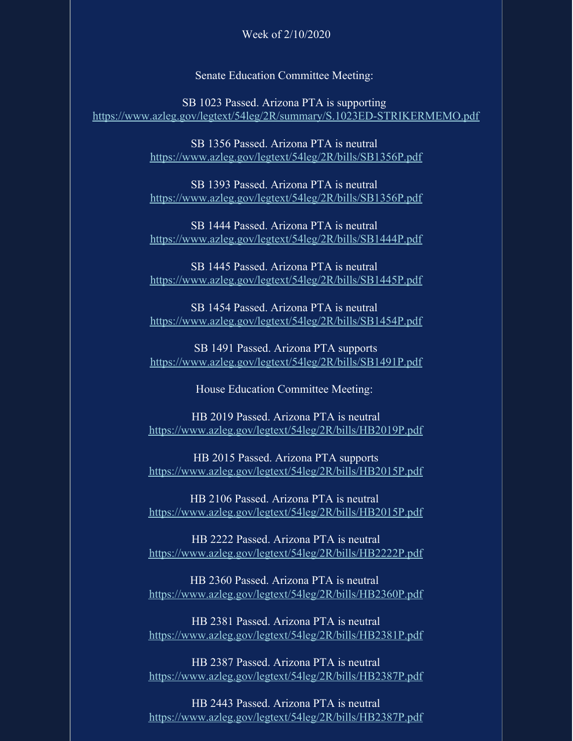## Week of 2/10/2020

Senate Education Committee Meeting:

SB 1023 Passed. Arizona PTA is supporting <https://www.azleg.gov/legtext/54leg/2R/summary/S.1023ED-STRIKERMEMO.pdf>

> SB 1356 Passed. Arizona PTA is neutral <https://www.azleg.gov/legtext/54leg/2R/bills/SB1356P.pdf>

> SB 1393 Passed. Arizona PTA is neutral <https://www.azleg.gov/legtext/54leg/2R/bills/SB1356P.pdf>

> SB 1444 Passed. Arizona PTA is neutral <https://www.azleg.gov/legtext/54leg/2R/bills/SB1444P.pdf>

> SB 1445 Passed. Arizona PTA is neutral <https://www.azleg.gov/legtext/54leg/2R/bills/SB1445P.pdf>

> SB 1454 Passed. Arizona PTA is neutral <https://www.azleg.gov/legtext/54leg/2R/bills/SB1454P.pdf>

> SB 1491 Passed. Arizona PTA supports <https://www.azleg.gov/legtext/54leg/2R/bills/SB1491P.pdf>

> > House Education Committee Meeting:

HB 2019 Passed. Arizona PTA is neutral <https://www.azleg.gov/legtext/54leg/2R/bills/HB2019P.pdf>

HB 2015 Passed. Arizona PTA supports <https://www.azleg.gov/legtext/54leg/2R/bills/HB2015P.pdf>

HB 2106 Passed. Arizona PTA is neutral <https://www.azleg.gov/legtext/54leg/2R/bills/HB2015P.pdf>

HB 2222 Passed. Arizona PTA is neutral <https://www.azleg.gov/legtext/54leg/2R/bills/HB2222P.pdf>

HB 2360 Passed. Arizona PTA is neutral <https://www.azleg.gov/legtext/54leg/2R/bills/HB2360P.pdf>

HB 2381 Passed. Arizona PTA is neutral <https://www.azleg.gov/legtext/54leg/2R/bills/HB2381P.pdf>

HB 2387 Passed. Arizona PTA is neutral <https://www.azleg.gov/legtext/54leg/2R/bills/HB2387P.pdf>

HB 2443 Passed. Arizona PTA is neutral <https://www.azleg.gov/legtext/54leg/2R/bills/HB2387P.pdf>